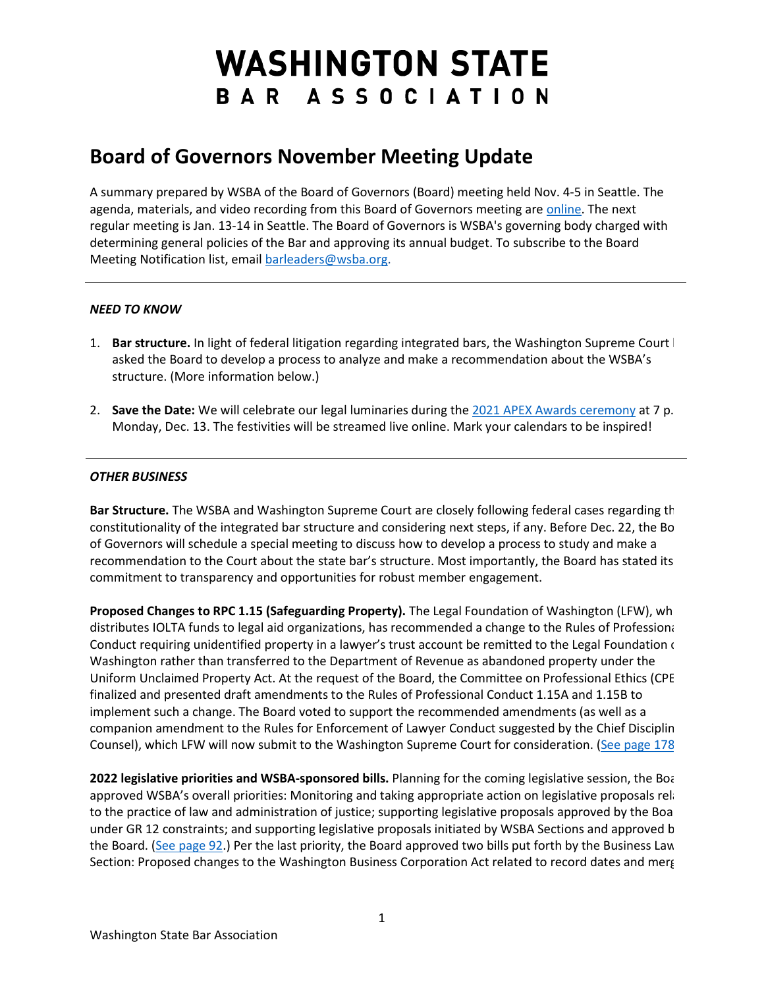## **WASHINGTON STATE** BAR ASSOCIATION

## **Board of Governors November Meeting Update**

A summary prepared by WSBA of the Board of Governors (Board) meeting held Nov. 4-5 in Seattle. The agenda, materials, and video recording from this Board of Governors meeting are [online.](https://www.wsba.org/about-wsba/who-we-are/board-of-governors) The next regular meeting is Jan. 13-14 in Seattle. The Board of Governors is WSBA's governing body charged with determining general policies of the Bar and approving its annual budget. To subscribe to the Board Meeting Notification list, emai[l barleaders@wsba.org.](mailto:barleaders@wsba.org)

## *NEED TO KNOW*

- 1. **Bar structure.** In light of federal litigation regarding integrated bars, the Washington Supreme Court has asked the Board to develop a process to analyze and make a recommendation about the WSBA's structure. (More information below.)
- 2. **Save the Date:** We will celebrate our legal luminaries during th[e 2021 APEX Awards ceremony](https://www.wsba.org/news-events/apex-awards) at 7 p. Monday, Dec. 13. The festivities will be streamed live online. Mark your calendars to be inspired!

## *OTHER BUSINESS*

**Bar Structure.** The WSBA and Washington Supreme Court are closely following federal cases regarding th constitutionality of the integrated bar structure and considering next steps, if any. Before Dec. 22, the Bo of Governors will schedule a special meeting to discuss how to develop a process to study and make a recommendation to the Court about the state bar's structure. Most importantly, the Board has stated its commitment to transparency and opportunities for robust member engagement.

**Proposed Changes to RPC 1.15 (Safeguarding Property).** The Legal Foundation of Washington (LFW), wh distributes IOLTA funds to legal aid organizations, has recommended a change to the Rules of Professiona Conduct requiring unidentified property in a lawyer's trust account be remitted to the Legal Foundation  $\epsilon$ Washington rather than transferred to the Department of Revenue as abandoned property under the Uniform Unclaimed Property Act. At the request of the Board, the Committee on Professional Ethics (CPE finalized and presented draft amendments to the Rules of Professional Conduct 1.15A and 1.15B to implement such a change. The Board voted to support the recommended amendments (as well as a companion amendment to the Rules for Enforcement of Lawyer Conduct suggested by the Chief Disciplin Counsel), which LFW will now submit to the Washington Supreme Court for consideration. [\(See page 178](https://www.wsba.org/docs/default-source/about-wsba/governance/bog-meeting-materials-2021---2022/nov.-2021/board-of-governors-meeting-materials-november-2021.pdf#page=178)

2022 legislative priorities and WSBA-sponsored bills. Planning for the coming legislative session, the Boa approved WSBA's overall priorities: Monitoring and taking appropriate action on legislative proposals rela to the practice of law and administration of justice; supporting legislative proposals approved by the Boa under GR 12 constraints; and supporting legislative proposals initiated by WSBA Sections and approved b the Board. [\(See page 92.](https://www.wsba.org/docs/default-source/about-wsba/governance/bog-meeting-materials-2021---2022/nov.-2021/board-of-governors-meeting-materials-november-2021.pdf#page=92)) Per the last priority, the Board approved two bills put forth by the Business Law Section: Proposed changes to the Washington Business Corporation Act related to record dates and merg